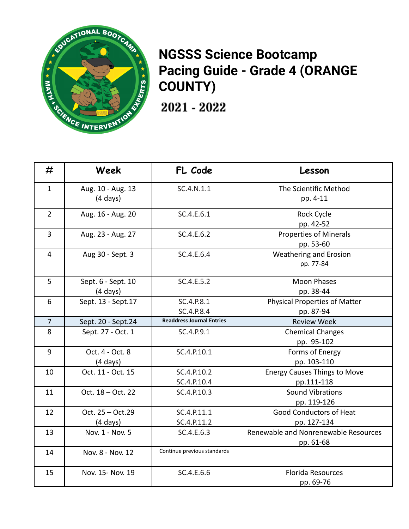

## **NGSSS Science Bootcamp Pacing Guide - Grade 4 (ORANGE COUNTY)**

2021 - 2022

| #              | Week                | FL Code                          | Lesson                               |
|----------------|---------------------|----------------------------------|--------------------------------------|
| $\mathbf{1}$   | Aug. 10 - Aug. 13   | SC.4.N.1.1                       | The Scientific Method                |
|                | $(4 \text{ days})$  |                                  | pp. 4-11                             |
| $\overline{2}$ | Aug. 16 - Aug. 20   | SC.4.E.6.1                       | <b>Rock Cycle</b>                    |
|                |                     |                                  | pp. 42-52                            |
| $\overline{3}$ | Aug. 23 - Aug. 27   | SC.4.E.6.2                       | <b>Properties of Minerals</b>        |
|                |                     |                                  | pp. 53-60                            |
| $\overline{4}$ | Aug 30 - Sept. 3    | SC.4.E.6.4                       | Weathering and Erosion               |
|                |                     |                                  | pp. 77-84                            |
| 5              | Sept. 6 - Sept. 10  | SC.4.E.5.2                       | <b>Moon Phases</b>                   |
|                | $(4 \text{ days})$  |                                  | pp. 38-44                            |
| 6              | Sept. 13 - Sept. 17 | SC.4.P.8.1                       | Physical Properties of Matter        |
|                |                     | SC.4.P.8.4                       | pp. 87-94                            |
| $\overline{7}$ | Sept. 20 - Sept.24  | <b>Readdress Journal Entries</b> | <b>Review Week</b>                   |
| 8              | Sept. 27 - Oct. 1   | SC.4.P.9.1                       | <b>Chemical Changes</b>              |
|                |                     |                                  | pp. 95-102                           |
| 9              | Oct. 4 - Oct. 8     | SC.4.P.10.1                      | Forms of Energy                      |
|                | $(4 \text{ days})$  |                                  | pp. 103-110                          |
| 10             | Oct. 11 - Oct. 15   | SC.4.P.10.2                      | <b>Energy Causes Things to Move</b>  |
|                |                     | SC.4.P.10.4                      | pp.111-118                           |
| 11             | Oct. 18 - Oct. 22   | SC.4.P.10.3                      | <b>Sound Vibrations</b>              |
|                |                     |                                  | pp. 119-126                          |
| 12             | Oct. 25 - Oct.29    | SC.4.P.11.1                      | <b>Good Conductors of Heat</b>       |
|                | $(4 \text{ days})$  | SC.4.P.11.2                      | pp. 127-134                          |
| 13             | Nov. 1 - Nov. 5     | SC.4.E.6.3                       | Renewable and Nonrenewable Resources |
|                |                     |                                  | pp. 61-68                            |
| 14             | Nov. 8 - Nov. 12    | Continue previous standards      |                                      |
| 15             | Nov. 15- Nov. 19    | SC.4.E.6.6                       | <b>Florida Resources</b>             |
|                |                     |                                  | pp. 69-76                            |